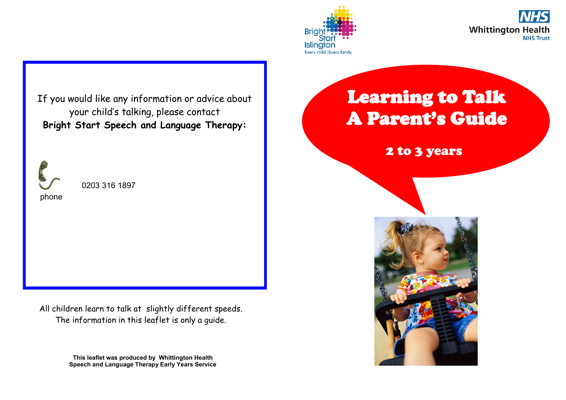



If you would like any information or advice about your child's talking, please contact **Bright Start Speech and Language Therapy:**



0203 316 1897

All children learn to talk at slightly different speeds. The information in this leaflet is only a guide.

> **This leaflet was produced by Whittington Health Speech and Language Therapy Early Years Service**

## Learning to Talk A Parent's Guide

2 to 3 years